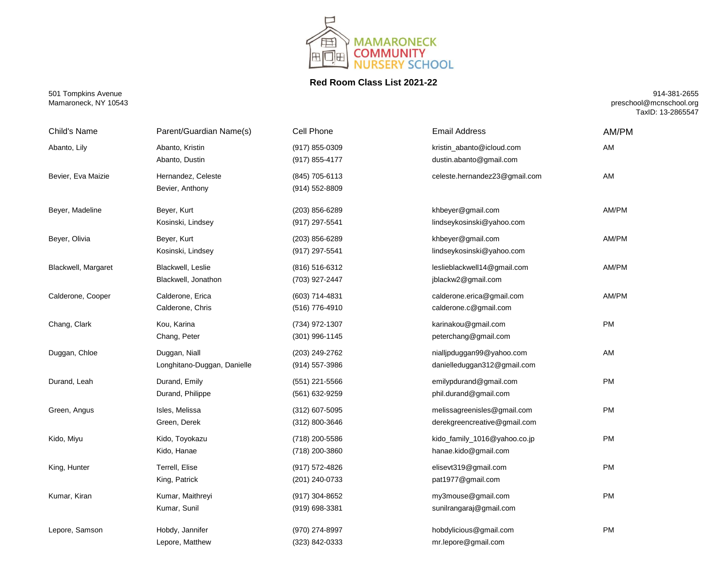

## **Red Room Class List 2021-22**

501 Tompkins Avenue Mamaroneck, NY 10543

914-381-2655 preschool@mcnschool.org TaxID: 13-2865547

| Child's Name        | Parent/Guardian Name(s)                      | Cell Phone                       | <b>Email Address</b>                                        | AM/PM     |
|---------------------|----------------------------------------------|----------------------------------|-------------------------------------------------------------|-----------|
| Abanto, Lily        | Abanto, Kristin<br>Abanto, Dustin            | (917) 855-0309<br>(917) 855-4177 | kristin_abanto@icloud.com<br>dustin.abanto@gmail.com        | AM        |
| Bevier, Eva Maizie  | Hernandez, Celeste<br>Bevier, Anthony        | (845) 705-6113<br>(914) 552-8809 | celeste.hernandez23@gmail.com                               | AM        |
| Beyer, Madeline     | Beyer, Kurt<br>Kosinski, Lindsey             | (203) 856-6289<br>(917) 297-5541 | khbeyer@gmail.com<br>lindseykosinski@yahoo.com              | AM/PM     |
| Beyer, Olivia       | Beyer, Kurt<br>Kosinski, Lindsey             | (203) 856-6289<br>(917) 297-5541 | khbeyer@gmail.com<br>lindseykosinski@yahoo.com              | AM/PM     |
| Blackwell, Margaret | Blackwell, Leslie<br>Blackwell, Jonathon     | (816) 516-6312<br>(703) 927-2447 | leslieblackwell14@gmail.com<br>jblackw2@gmail.com           | AM/PM     |
| Calderone, Cooper   | Calderone, Erica<br>Calderone, Chris         | (603) 714-4831<br>(516) 776-4910 | calderone.erica@gmail.com<br>calderone.c@gmail.com          | AM/PM     |
| Chang, Clark        | Kou, Karina<br>Chang, Peter                  | (734) 972-1307<br>(301) 996-1145 | karinakou@gmail.com<br>peterchang@gmail.com                 | PM        |
| Duggan, Chloe       | Duggan, Niall<br>Longhitano-Duggan, Danielle | (203) 249-2762<br>(914) 557-3986 | nialljpduggan99@yahoo.com<br>danielleduggan312@gmail.com    | AM        |
| Durand, Leah        | Durand, Emily<br>Durand, Philippe            | (551) 221-5566<br>(561) 632-9259 | emilypdurand@gmail.com<br>phil.durand@gmail.com             | PM        |
| Green, Angus        | Isles, Melissa<br>Green, Derek               | (312) 607-5095<br>(312) 800-3646 | melissagreenisles@gmail.com<br>derekgreencreative@gmail.com | <b>PM</b> |
| Kido, Miyu          | Kido, Toyokazu<br>Kido, Hanae                | (718) 200-5586<br>(718) 200-3860 | kido_family_1016@yahoo.co.jp<br>hanae.kido@gmail.com        | <b>PM</b> |
| King, Hunter        | Terrell, Elise<br>King, Patrick              | (917) 572-4826<br>(201) 240-0733 | elisevt319@gmail.com<br>pat1977@gmail.com                   | PM        |
| Kumar, Kiran        | Kumar, Maithreyi<br>Kumar, Sunil             | (917) 304-8652<br>(919) 698-3381 | my3mouse@gmail.com<br>sunilrangaraj@gmail.com               | <b>PM</b> |
| Lepore, Samson      | Hobdy, Jannifer<br>Lepore, Matthew           | (970) 274-8997<br>(323) 842-0333 | hobdylicious@gmail.com<br>mr.lepore@gmail.com               | PM        |